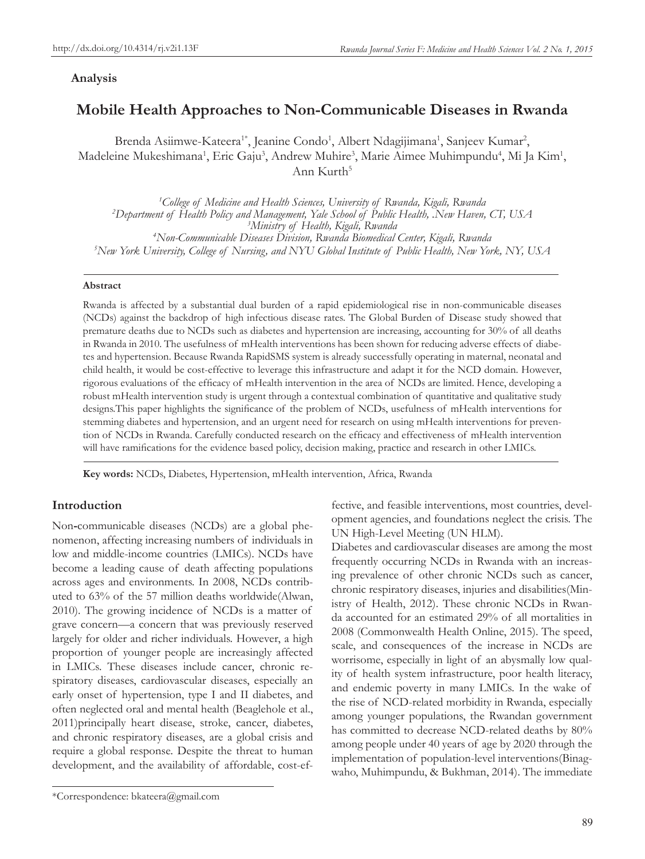## **Analysis**

# **Mobile Health Approaches to Non-Communicable Diseases in Rwanda**

Brenda Asiimwe-Kateera<sup>1\*</sup>, Jeanine Condo<sup>1</sup>, Albert Ndagijimana<sup>1</sup>, Sanjeev Kumar<sup>2</sup>, Madeleine Mukeshimana<sup>1</sup>, Eric Gaju<sup>3</sup>, Andrew Muhire<sup>3</sup>, Marie Aimee Muhimpundu<sup>4</sup>, Mi Ja Kim<sup>1</sup>, Ann Kurth5

*1 College of Medicine and Health Sciences, University of Rwanda, Kigali, Rwanda <sup>2</sup> Department of Health Policy and Management, Yale School of Public Health, .New Haven, CT, USA <sup>3</sup> Ministry of Health, Kigali, Rwanda <sup>4</sup> Non-Communicable Diseases Division, Rwanda Biomedical Center, Kigali, Rwanda 5 New York University, College of Nursing, and NYU Global Institute of Public Health, New York, NY, USA*

#### **Abstract**

Rwanda is affected by a substantial dual burden of a rapid epidemiological rise in non-communicable diseases (NCDs) against the backdrop of high infectious disease rates. The Global Burden of Disease study showed that premature deaths due to NCDs such as diabetes and hypertension are increasing, accounting for 30% of all deaths in Rwanda in 2010. The usefulness of mHealth interventions has been shown for reducing adverse effects of diabetes and hypertension. Because Rwanda RapidSMS system is already successfully operating in maternal, neonatal and child health, it would be cost-effective to leverage this infrastructure and adapt it for the NCD domain. However, rigorous evaluations of the efficacy of mHealth intervention in the area of NCDs are limited. Hence, developing a robust mHealth intervention study is urgent through a contextual combination of quantitative and qualitative study designs.This paper highlights the significance of the problem of NCDs, usefulness of mHealth interventions for stemming diabetes and hypertension, and an urgent need for research on using mHealth interventions for prevention of NCDs in Rwanda. Carefully conducted research on the efficacy and effectiveness of mHealth intervention will have ramifications for the evidence based policy, decision making, practice and research in other LMICs.

**Key words:** NCDs, Diabetes, Hypertension, mHealth intervention, Africa, Rwanda

# **Introduction**

Non**-**communicable diseases (NCDs) are a global phenomenon, affecting increasing numbers of individuals in low and middle-income countries (LMICs). NCDs have become a leading cause of death affecting populations across ages and environments. In 2008, NCDs contributed to 63% of the 57 million deaths worldwide(Alwan, 2010). The growing incidence of NCDs is a matter of grave concern—a concern that was previously reserved largely for older and richer individuals. However, a high proportion of younger people are increasingly affected in LMICs. These diseases include cancer, chronic respiratory diseases, cardiovascular diseases, especially an early onset of hypertension, type I and II diabetes, and often neglected oral and mental health (Beaglehole et al., 2011)principally heart disease, stroke, cancer, diabetes, and chronic respiratory diseases, are a global crisis and require a global response. Despite the threat to human development, and the availability of affordable, cost-ef-

fective, and feasible interventions, most countries, development agencies, and foundations neglect the crisis. The UN High-Level Meeting (UN HLM).

Diabetes and cardiovascular diseases are among the most frequently occurring NCDs in Rwanda with an increasing prevalence of other chronic NCDs such as cancer, chronic respiratory diseases, injuries and disabilities(Ministry of Health, 2012). These chronic NCDs in Rwanda accounted for an estimated 29% of all mortalities in 2008 (Commonwealth Health Online, 2015). The speed, scale, and consequences of the increase in NCDs are worrisome, especially in light of an abysmally low quality of health system infrastructure, poor health literacy, and endemic poverty in many LMICs. In the wake of the rise of NCD-related morbidity in Rwanda, especially among younger populations, the Rwandan government has committed to decrease NCD-related deaths by 80% among people under 40 years of age by 2020 through the implementation of population-level interventions(Binagwaho, Muhimpundu, & Bukhman, 2014). The immediate

<sup>\*</sup>Correspondence: bkateera@gmail.com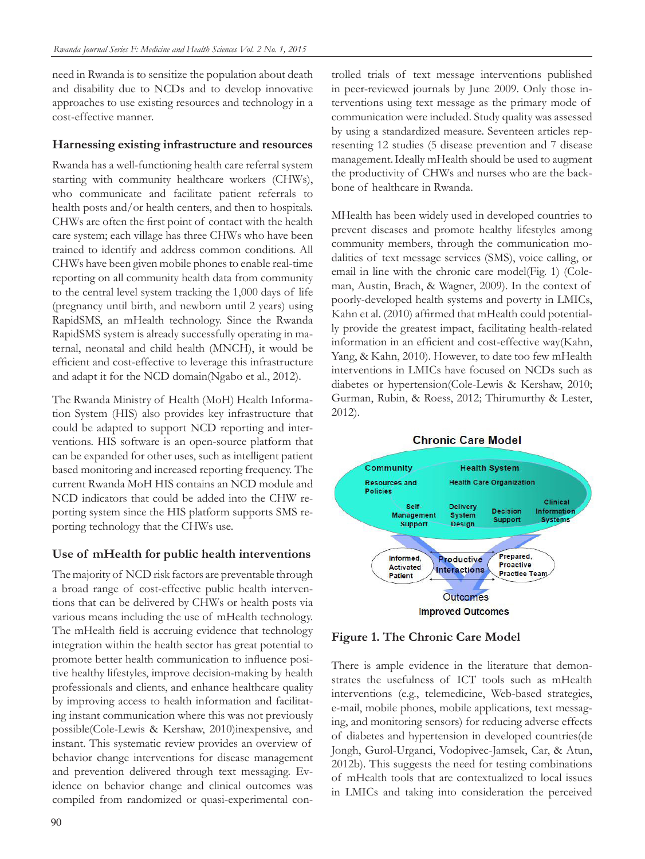need in Rwanda is to sensitize the population about death and disability due to NCDs and to develop innovative approaches to use existing resources and technology in a cost-effective manner.

## **Harnessing existing infrastructure and resources**

Rwanda has a well-functioning health care referral system starting with community healthcare workers (CHWs), who communicate and facilitate patient referrals to health posts and/or health centers, and then to hospitals. CHWs are often the first point of contact with the health care system; each village has three CHWs who have been trained to identify and address common conditions. All CHWs have been given mobile phones to enable real-time reporting on all community health data from community to the central level system tracking the 1,000 days of life (pregnancy until birth, and newborn until 2 years) using RapidSMS, an mHealth technology. Since the Rwanda RapidSMS system is already successfully operating in maternal, neonatal and child health (MNCH), it would be efficient and cost-effective to leverage this infrastructure and adapt it for the NCD domain(Ngabo et al., 2012).

The Rwanda Ministry of Health (MoH) Health Information System (HIS) also provides key infrastructure that could be adapted to support NCD reporting and interventions. HIS software is an open-source platform that can be expanded for other uses, such as intelligent patient based monitoring and increased reporting frequency. The current Rwanda MoH HIS contains an NCD module and NCD indicators that could be added into the CHW reporting system since the HIS platform supports SMS reporting technology that the CHWs use.

# **Use of mHealth for public health interventions**

The majority of NCD risk factors are preventable through a broad range of cost-effective public health interventions that can be delivered by CHWs or health posts via various means including the use of mHealth technology. The mHealth field is accruing evidence that technology integration within the health sector has great potential to promote better health communication to influence positive healthy lifestyles, improve decision-making by health professionals and clients, and enhance healthcare quality by improving access to health information and facilitating instant communication where this was not previously possible(Cole-Lewis & Kershaw, 2010)inexpensive, and instant. This systematic review provides an overview of behavior change interventions for disease management and prevention delivered through text messaging. Evidence on behavior change and clinical outcomes was compiled from randomized or quasi-experimental controlled trials of text message interventions published in peer-reviewed journals by June 2009. Only those interventions using text message as the primary mode of communication were included. Study quality was assessed by using a standardized measure. Seventeen articles representing 12 studies (5 disease prevention and 7 disease management.Ideally mHealth should be used to augment the productivity of CHWs and nurses who are the backbone of healthcare in Rwanda.

MHealth has been widely used in developed countries to prevent diseases and promote healthy lifestyles among community members, through the communication modalities of text message services (SMS), voice calling, or email in line with the chronic care model(Fig. 1) (Coleman, Austin, Brach, & Wagner, 2009). In the context of poorly-developed health systems and poverty in LMICs, Kahn et al. (2010) affirmed that mHealth could potentially provide the greatest impact, facilitating health-related information in an efficient and cost-effective way(Kahn, Yang, & Kahn, 2010). However, to date too few mHealth interventions in LMICs have focused on NCDs such as diabetes or hypertension(Cole-Lewis & Kershaw, 2010; Gurman, Rubin, & Roess, 2012; Thirumurthy & Lester, 2012).



# **Figure 1. The Chronic Care Model**

There is ample evidence in the literature that demonstrates the usefulness of ICT tools such as mHealth interventions (e.g., telemedicine, Web-based strategies, e-mail, mobile phones, mobile applications, text messaging, and monitoring sensors) for reducing adverse effects of diabetes and hypertension in developed countries(de Jongh, Gurol-Urganci, Vodopivec-Jamsek, Car, & Atun, 2012b). This suggests the need for testing combinations of mHealth tools that are contextualized to local issues in LMICs and taking into consideration the perceived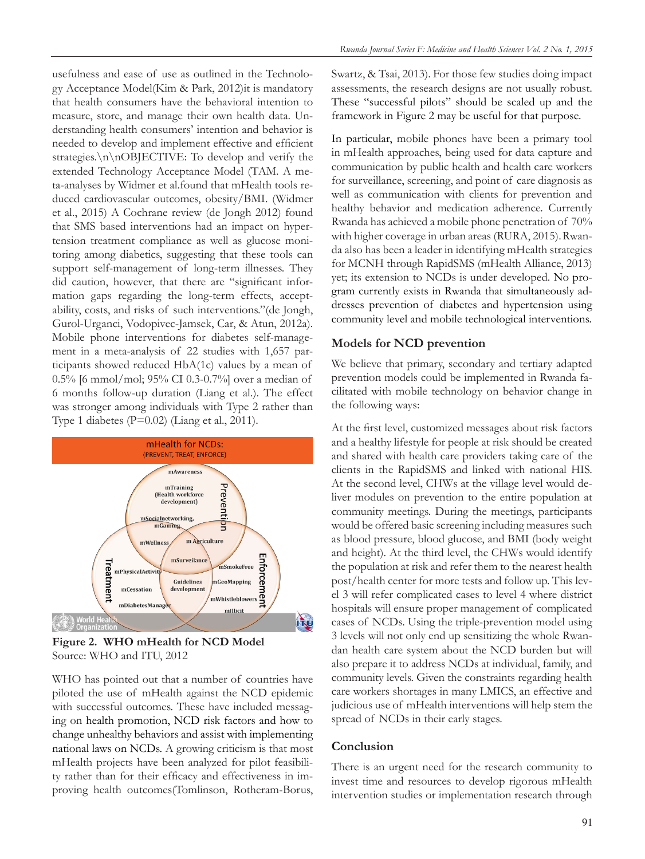usefulness and ease of use as outlined in the Technology Acceptance Model(Kim & Park, 2012)it is mandatory that health consumers have the behavioral intention to measure, store, and manage their own health data. Understanding health consumers' intention and behavior is needed to develop and implement effective and efficient strategies.\n\nOBJECTIVE: To develop and verify the extended Technology Acceptance Model (TAM. A meta-analyses by Widmer et al.found that mHealth tools reduced cardiovascular outcomes, obesity/BMI. (Widmer et al., 2015) A Cochrane review (de Jongh 2012) found that SMS based interventions had an impact on hypertension treatment compliance as well as glucose monitoring among diabetics, suggesting that these tools can support self-management of long-term illnesses. They did caution, however, that there are "significant information gaps regarding the long-term effects, acceptability, costs, and risks of such interventions."(de Jongh, Gurol-Urganci, Vodopivec-Jamsek, Car, & Atun, 2012a). Mobile phone interventions for diabetes self-management in a meta-analysis of 22 studies with 1,657 participants showed reduced HbA(1c) values by a mean of 0.5% [6 mmol/mol; 95% CI 0.3-0.7%] over a median of 6 months follow-up duration (Liang et al.). The effect was stronger among individuals with Type 2 rather than Type 1 diabetes (P=0.02) (Liang et al., 2011).



**Figure 2. WHO mHealth for NCD Model** Source: WHO and ITU, 2012

WHO has pointed out that a number of countries have piloted the use of mHealth against the NCD epidemic with successful outcomes. These have included messaging on health promotion, NCD risk factors and how to change unhealthy behaviors and assist with implementing national laws on NCDs. A growing criticism is that most mHealth projects have been analyzed for pilot feasibility rather than for their efficacy and effectiveness in improving health outcomes(Tomlinson, Rotheram-Borus, Swartz, & Tsai, 2013). For those few studies doing impact assessments, the research designs are not usually robust. These "successful pilots" should be scaled up and the framework in Figure 2 may be useful for that purpose.

In particular, mobile phones have been a primary tool in mHealth approaches, being used for data capture and communication by public health and health care workers for surveillance, screening, and point of care diagnosis as well as communication with clients for prevention and healthy behavior and medication adherence. Currently Rwanda has achieved a mobile phone penetration of 70% with higher coverage in urban areas (RURA, 2015).Rwanda also has been a leader in identifying mHealth strategies for MCNH through RapidSMS (mHealth Alliance, 2013) yet; its extension to NCDs is under developed. No program currently exists in Rwanda that simultaneously addresses prevention of diabetes and hypertension using community level and mobile technological interventions.

#### **Models for NCD prevention**

We believe that primary, secondary and tertiary adapted prevention models could be implemented in Rwanda facilitated with mobile technology on behavior change in the following ways:

At the first level, customized messages about risk factors and a healthy lifestyle for people at risk should be created and shared with health care providers taking care of the clients in the RapidSMS and linked with national HIS. At the second level, CHWs at the village level would deliver modules on prevention to the entire population at community meetings. During the meetings, participants would be offered basic screening including measures such as blood pressure, blood glucose, and BMI (body weight and height). At the third level, the CHWs would identify the population at risk and refer them to the nearest health post/health center for more tests and follow up. This level 3 will refer complicated cases to level 4 where district hospitals will ensure proper management of complicated cases of NCDs. Using the triple-prevention model using 3 levels will not only end up sensitizing the whole Rwandan health care system about the NCD burden but will also prepare it to address NCDs at individual, family, and community levels. Given the constraints regarding health care workers shortages in many LMICS, an effective and judicious use of mHealth interventions will help stem the spread of NCDs in their early stages.

#### **Conclusion**

There is an urgent need for the research community to invest time and resources to develop rigorous mHealth intervention studies or implementation research through